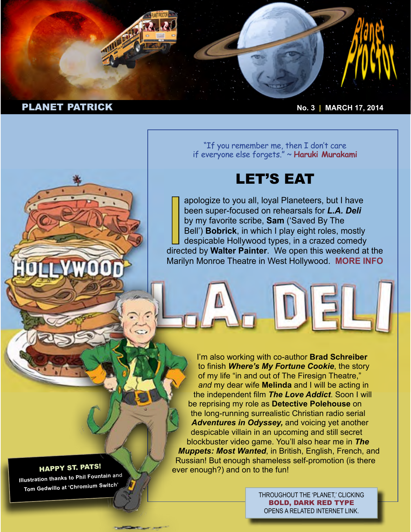

"If you remember me, then I don't care if everyone else forgets." ~ **[Haruki Murakami](http://en.wikipedia.org/wiki/Haruki_Murakami)**

# LET'S EAT

apologize to you all, loyal Planeteers, but I have<br>been super-focused on rehearsals for *L.A. Deli*<br>by my favorite scribe, **Sam** ('Saved By The<br>Bell') **Bobrick**, in which I play eight roles, mostly<br>despicable Hollywood typ apologize to you all, loyal Planeteers, but I have been super-focused on rehearsals for *L.A. Deli*  by my favorite scribe, **Sam** ('Saved By The Bell') **Bobrick**, in which I play eight roles, mostly despicable Hollywood types, in a crazed comedy Marilyn Monroe Theatre in West Hollywood. **[MORE INFO](http://www.playbill.com/news/article/188199-LA-Deli-Will-Play-Marilyn-Monroe-Theatre-in-West-Hollywood-Casting-Announced)**

I'm also working with co-author **Brad Schreiber** to finish *Where's My Fortune Cookie*, the story of my life "in and out of The Firesign Theatre," *and* my dear wife **Melinda** and I will be acting in the independent film *The Love Addict*. Soon I will be reprising my role as **Detective Polehouse** on the long-running surrealistic Christian radio serial *Adventures in Odyssey,* and voicing yet another despicable villain in an upcoming and still secret blockbuster video game. You'll also hear me in *The Muppets: Most Wanted*, in British, English, French, and Russian! But enough shameless self-promotion (is there ever enough?) and on to the fun!

> THROUGHOUT THE 'PLANET,' CLICKING BOLD, DARK RED TYPE OPENS A RELATED INTERNET LINK.

# HAPPY ST. PATS!

**YAWOOD** 

**Illustration thanks to Phil Fountain and Tom Gedwillo at 'Chromium Switch'**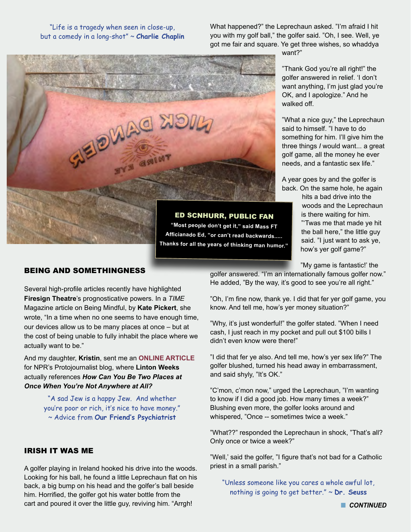#### "Life is a tragedy when seen in close-up, but a comedy in a long-shot" ~ **Charlie Chaplin**

What happened?" the Leprechaun asked. "I'm afraid I hit you with my golf ball," the golfer said. "Oh, I see. Well, ye got me fair and square. Ye get three wishes, so whaddya



want?"

"Thank God you're all right!" the golfer answered in relief. 'I don't want anything, I'm just glad you're OK, and I apologize." And he walked off.

"What a nice guy," the Leprechaun said to himself. "I have to do something for him. I'll give him the three things *I* would want... a great golf game, all the money he ever needs, and a fantastic sex life."

A year goes by and the golfer is back. On the same hole, he again

> hits a bad drive into the woods and the Leprechaun is there waiting for him. "'Twas me that made ye hit the ball here," the little guy said. "I just want to ask ye, how's yer golf game?"

"My game is fantastic!' the

golfer answered. "I'm an internationally famous golfer now." He added, "By the way, it's good to see you're all right."

"Oh, I'm fine now, thank ye. I did that fer yer golf game, you know. And tell me, how's yer money situation?"

"Why, it's just wonderful!" the golfer stated. "When I need cash, I just reach in my pocket and pull out \$100 bills I didn't even know were there!"

"I did that fer ye also. And tell me, how's yer sex life?" The golfer blushed, turned his head away in embarrassment, and said shyly, "It's OK."

"C'mon, c'mon now," urged the Leprechaun, "I'm wanting to know if I did a good job. How many times a week?" Blushing even more, the golfer looks around and whispered, "Once -- sometimes twice a week."

"What??" responded the Leprechaun in shock, "That's all? Only once or twice a week?"

"Well,' said the golfer, "I figure that's not bad for a Catholic priest in a small parish."

"Unless someone like you cares a whole awful lot, nothing is going to get better." ~ **Dr. Seuss**

# BEING AND SOMETHINGNESS

Several high-profile articles recently have highlighted **Firesign Theatre**'s prognosticative powers. In a *TIME*  Magazine article on Being Mindful, by **Kate Pickert**, she wrote, "In a time when no one seems to have enough time, our devices allow us to be many places at once – but at the cost of being unable to fully inhabit the place where we actually want to be."

And my daughter, **Kristin**, sent me an **[ONLINE ARTICLE](http://www.npr.org/blogs/theprotojournalist/2014/02/11/268876281/we-are-just-not-here-anymore?utm_campaign=storyshare&utm_source=share&utm_medium=facebook)** for NPR's Protojournalist blog, where **Linton Weeks**  actually references *How Can You Be Two Places at Once When You're Not Anywhere at All?*

> "A sad Jew is a happy Jew. And whether you're poor or rich, it's nice to have money." ~ Advice from **Our Friend's Psychiatrist**

#### IRISH IT WAS ME

A golfer playing in Ireland hooked his drive into the woods. Looking for his ball, he found a little Leprechaun flat on his back, a big bump on his head and the golfer's ball beside him. Horrified, the golfer got his water bottle from the cart and poured it over the little guy, reviving him. "Arrgh!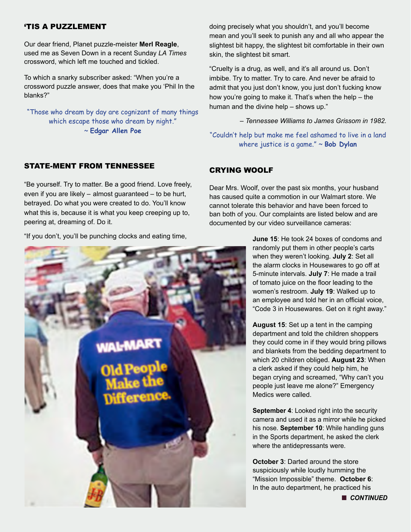# 'TIS A PUZZLEMENT

Our dear friend, Planet puzzle-meister **Merl Reagle**, used me as Seven Down in a recent Sunday *LA Times*  crossword, which left me touched and tickled.

To which a snarky subscriber asked: "When you're a crossword puzzle answer, does that make you 'Phil In the blanks?"

"Those who dream by day are cognizant of many things which escape those who dream by night." ~ **Edgar Allen Poe**

#### STATE-MENT FROM TENNESSEE

"Be yourself. Try to matter. Be a good friend. Love freely, even if you are likely – almost guaranteed – to be hurt, betrayed. Do what you were created to do. You'll know what this is, because it is what you keep creeping up to, peering at, dreaming of. Do it.

"If you don't, you'll be punching clocks and eating time,



doing precisely what you shouldn't, and you'll become mean and you'll seek to punish any and all who appear the slightest bit happy, the slightest bit comfortable in their own skin, the slightest bit smart.

"Cruelty is a drug, as well, and it's all around us. Don't imbibe. Try to matter. Try to care. And never be afraid to admit that you just don't know, you just don't fucking know how you're going to make it. That's when the help – the human and the divine help – shows up."

*– Tennessee Williams to James Grissom in 1982.*

"Couldn't help but make me feel ashamed to live in a land where justice is a game." ~ **Bob Dylan**

#### CRYING WOOLF

Dear Mrs. Woolf, over the past six months, your husband has caused quite a commotion in our Walmart store. We cannot tolerate this behavior and have been forced to ban both of you. Our complaints are listed below and are documented by our video surveillance cameras:

> **June 15**: He took 24 boxes of condoms and randomly put them in other people's carts when they weren't looking. **July 2**: Set all the alarm clocks in Housewares to go off at 5-minute intervals. **July 7**: He made a trail of tomato juice on the floor leading to the women's restroom. **July 19**: Walked up to an employee and told her in an official voice, "Code 3 in Housewares. Get on it right away."

> **August 15**: Set up a tent in the camping department and told the children shoppers they could come in if they would bring pillows and blankets from the bedding department to which 20 children obliged. **August 23**: When a clerk asked if they could help him, he began crying and screamed, "Why can't you people just leave me alone?" Emergency Medics were called.

> **September 4:** Looked right into the security camera and used it as a mirror while he picked his nose. **September 10**: While handling guns in the Sports department, he asked the clerk where the antidepressants were.

**October 3: Darted around the store** suspiciously while loudly humming the "Mission Impossible" theme. **October 6**: In the auto department, he practiced his

**n** CONTINUED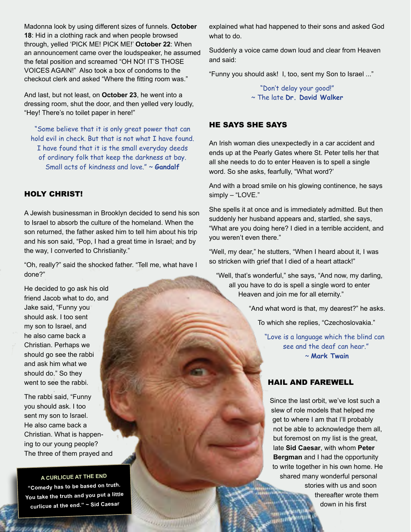Madonna look by using different sizes of funnels. **October 18**: Hid in a clothing rack and when people browsed through, yelled 'PICK ME! PICK ME!' **October 22**: When an announcement came over the loudspeaker, he assumed the fetal position and screamed "OH NO! IT'S THOSE VOICES AGAIN!" Also took a box of condoms to the checkout clerk and asked "Where the fitting room was."

And last, but not least, on **October 23**, he went into a dressing room, shut the door, and then yelled very loudly, "Hey! There's no toilet paper in here!"

"Some believe that it is only great power that can hold evil in check. But that is not what I have found. I have found that it is the small everyday deeds of ordinary folk that keep the darkness at bay. Small acts of kindness and love." ~ **Gandalf**

## HOLY CHRIST!

A Jewish businessman in Brooklyn decided to send his son to Israel to absorb the culture of the homeland. When the son returned, the father asked him to tell him about his trip and his son said, "Pop, I had a great time in Israel; and by the way, I converted to Christianity."

"Oh, really?" said the shocked father. "Tell me, what have I done?"

He decided to go ask his old friend Jacob what to do, and Jake said, "Funny you should ask. I too sent my son to Israel, and he also came back a Christian. Perhaps we should go see the rabbi and ask him what we should do." So they went to see the rabbi.

The rabbi said, "Funny you should ask. I too sent my son to Israel. He also came back a Christian. What is happening to our young people? The three of them prayed and

#### **A CURLICUE AT THE END**

**"Comedy has to be based on truth. You take the truth and you put a little curlicue at the end." ~ Sid Caesar**

**SUMMING** 

explained what had happened to their sons and asked God what to do.

Suddenly a voice came down loud and clear from Heaven and said:

"Funny you should ask! I, too, sent my Son to Israel ..."

"Don't delay your good!" ~ The late **Dr. David Walker**

#### HE SAYS SHE SAYS

An Irish woman dies unexpectedly in a car accident and ends up at the Pearly Gates where St. Peter tells her that all she needs to do to enter Heaven is to spell a single word. So she asks, fearfully, "What word?'

And with a broad smile on his glowing continence, he says simply – "LOVE."

She spells it at once and is immediately admitted. But then suddenly her husband appears and, startled, she says, "What are you doing here? I died in a terrible accident, and you weren't even there."

"Well, my dear," he stutters, "When I heard about it, I was so stricken with grief that I died of a heart attack!"

"Well, that's wonderful," she says, "And now, my darling, all you have to do is spell a single word to enter Heaven and join me for all eternity."

"And what word is that, my dearest?" he asks.

To which she replies, "Czechoslovakia."

"Love is a language which the blind can see and the deaf can hear." ~ **Mark Twain**

# HAIL AND FAREWELL

Since the last orbit, we've lost such a slew of role models that helped me get to where I am that I'll probably not be able to acknowledge them all, but foremost on my list is the great, late **Sid Caesar**, with whom **Peter Bergman** and I had the opportunity to write together in his own home. He shared many wonderful personal stories with us and soon thereafter wrote them down in his first